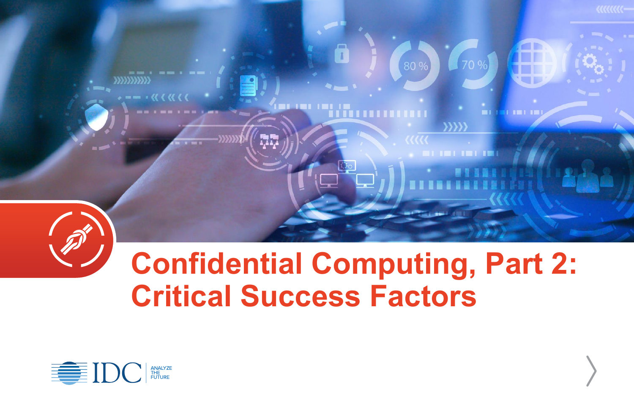

# **Confidential Computing, Part 2: Critical Success Factors**

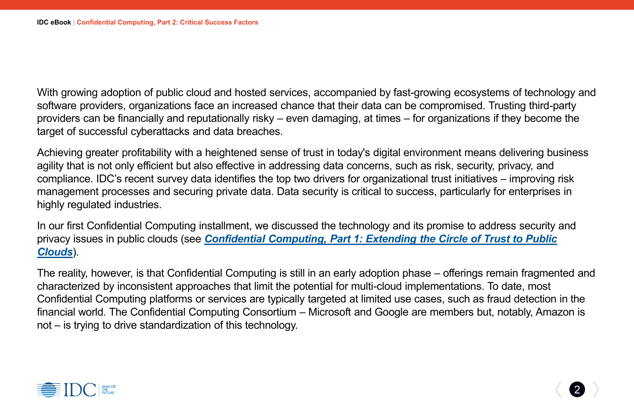With growing adoption of public cloud and hosted services, accompanied by fast-growing ecosystems of technology and software providers, organizations face an increased chance that their data can be compromised. Trusting third-party providers can be financially and reputationally risky – even damaging, at times – for organizations if they become the target of successful cyberattacks and data breaches.

Achieving greater profitability with a heightened sense of trust in today's digital environment means delivering business agility that is not only efficient but also effective in addressing data concerns, such as risk, security, privacy, and compliance. IDC's recent survey data identifies the top two drivers for organizational trust initiatives – improving risk management processes and securing private data. Data security is critical to success, particularly for enterprises in highly regulated industries.

In our first Confidential Computing installment, we discussed the technology and its promise to address security and privacy issues in public clouds (see *[Confidential Computing, Part 1: Extending the Circle of Trust to Public](https://bit.ly/3g6nBO6)  Clouds*).

The reality, however, is that Confidential Computing is still in an early adoption phase – offerings remain fragmented and characterized by inconsistent approaches that limit the potential for multi-cloud implementations. To date, most Confidential Computing platforms or services are typically targeted at limited use cases, such as fraud detection in the financial world. The Confidential Computing Consortium – Microsoft and Google are members but, notably, Amazon is not – is trying to drive standardization of this technology.

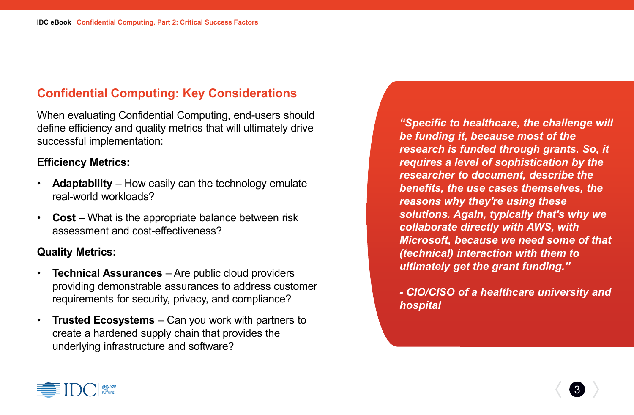## **Confidential Computing: Key Considerations**

When evaluating Confidential Computing, end-users should define efficiency and quality metrics that will ultimately drive successful implementation:

#### **Efficiency Metrics:**

- **Adaptability** How easily can the technology emulate real-world workloads?
- **Cost** What is the appropriate balance between risk assessment and cost-effectiveness?

### **Quality Metrics:**

- **Technical Assurances**  Are public cloud providers providing demonstrable assurances to address customer requirements for security, privacy, and compliance?
- **Trusted Ecosystems**  Can you work with partners to create a hardened supply chain that provides the underlying infrastructure and software?

*"Specific to healthcare, the challenge will be funding it, because most of the research is funded through grants. So, it requires a level of sophistication by the researcher to document, describe the benefits, the use cases themselves, the reasons why they're using these solutions. Again, typically that's why we collaborate directly with AWS, with Microsoft, because we need some of that (technical) interaction with them to ultimately get the grant funding."*

*- CIO/CISO of a healthcare university and hospital*

3

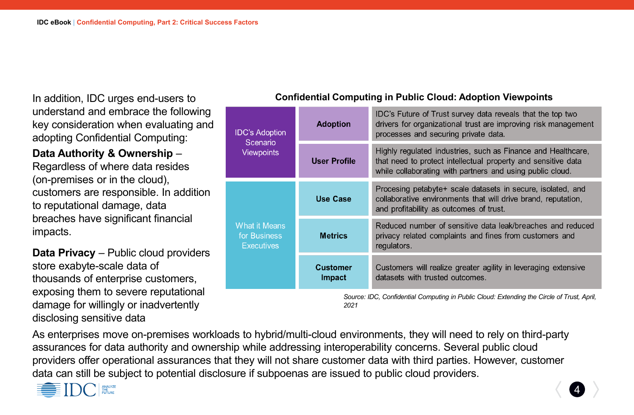In addition, IDC urges end-users to understand and embrace the following key consideration when evaluating and adopting Confidential Computing:

**Data Authority & Ownership** – Regardless of where data resides (on-premises or in the cloud), customers are responsible. In addition to reputational damage, data breaches have significant financial impacts.

**Data Privacy** – Public cloud providers store exabyte-scale data of thousands of enterprise customers, exposing them to severe reputational damage for willingly or inadvertently disclosing sensitive data

### **Confidential Computing in Public Cloud: Adoption Viewpoints**

| <b>IDC's Adoption</b><br>Scenario<br><b>Viewpoints</b><br><b>What it Means</b><br>for Business<br><b>Executives</b> | <b>Adoption</b>                  | IDC's Future of Trust survey data reveals that the top two<br>drivers for organizational trust are improving risk management<br>processes and securing private data.                       |
|---------------------------------------------------------------------------------------------------------------------|----------------------------------|--------------------------------------------------------------------------------------------------------------------------------------------------------------------------------------------|
|                                                                                                                     | <b>User Profile</b>              | Highly regulated industries, such as Finance and Healthcare,<br>that need to protect intellectual property and sensitive data<br>while collaborating with partners and using public cloud. |
|                                                                                                                     | <b>Use Case</b>                  | Procesing petabyte+ scale datasets in secure, isolated, and<br>collaborative environments that will drive brand, reputation,<br>and profitability as outcomes of trust.                    |
|                                                                                                                     | <b>Metrics</b>                   | Reduced number of sensitive data leak/breaches and reduced<br>privacy related complaints and fines from customers and<br>regulators.                                                       |
|                                                                                                                     | <b>Customer</b><br><b>Impact</b> | Customers will realize greater agility in leveraging extensive<br>datasets with trusted outcomes.                                                                                          |

*Source: IDC, Confidential Computing in Public Cloud: Extending the Circle of Trust, April, 2021*

4

As enterprises move on-premises workloads to hybrid/multi-cloud environments, they will need to rely on third-party assurances for data authority and ownership while addressing interoperability concerns. Several public cloud providers offer operational assurances that they will not share customer data with third parties. However, customer data can still be subject to potential disclosure if subpoenas are issued to public cloud providers.

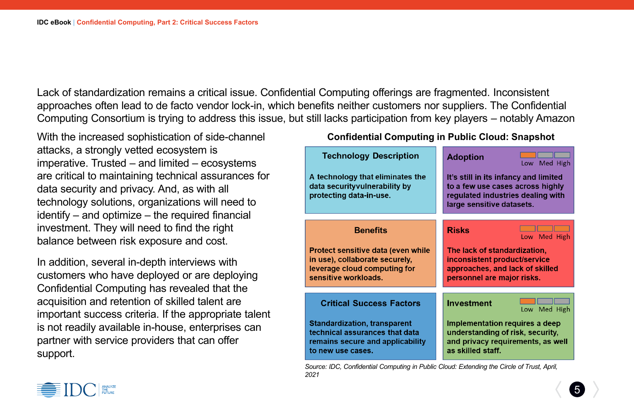Lack of standardization remains a critical issue. Confidential Computing offerings are fragmented. Inconsistent approaches often lead to de facto vendor lock-in, which benefits neither customers nor suppliers. The Confidential Computing Consortium is trying to address this issue, but still lacks participation from key players – notably Amazon

With the increased sophistication of side-channel attacks, a strongly vetted ecosystem is imperative. Trusted – and limited – ecosystems are critical to maintaining technical assurances for data security and privacy. And, as with all technology solutions, organizations will need to identify – and optimize – the required financial investment. They will need to find the right balance between risk exposure and cost.

In addition, several in-depth interviews with customers who have deployed or are deploying Confidential Computing has revealed that the acquisition and retention of skilled talent are important success criteria. If the appropriate talent is not readily available in-house, enterprises can partner with service providers that can offer support.

#### **Confidential Computing in Public Cloud: Snapshot**

| <b>Technology Description</b>                                                                                                  | <b>Adoption</b><br>Low Med High                                                                                                             |
|--------------------------------------------------------------------------------------------------------------------------------|---------------------------------------------------------------------------------------------------------------------------------------------|
| A technology that eliminates the<br>data security vulnerability by<br>protecting data-in-use.                                  | It's still in its infancy and limited<br>to a few use cases across highly<br>regulated industries dealing with<br>large sensitive datasets. |
| <b>Benefits</b>                                                                                                                | <b>Risks</b><br>Low Med High                                                                                                                |
| Protect sensitive data (even while<br>in use), collaborate securely,<br>leverage cloud computing for<br>sensitive workloads.   | The lack of standardization,<br>inconsistent product/service<br>approaches, and lack of skilled<br>personnel are major risks.               |
| <b>Critical Success Factors</b>                                                                                                | <b>Investment</b><br>Low Med High                                                                                                           |
| <b>Standardization, transparent</b><br>technical assurances that data<br>remains secure and applicability<br>to new use cases. | Implementation requires a deep<br>understanding of risk, security,<br>and privacy requirements, as well<br>as skilled staff.                |

*Source: IDC, Confidential Computing in Public Cloud: Extending the Circle of Trust, April, 2021*